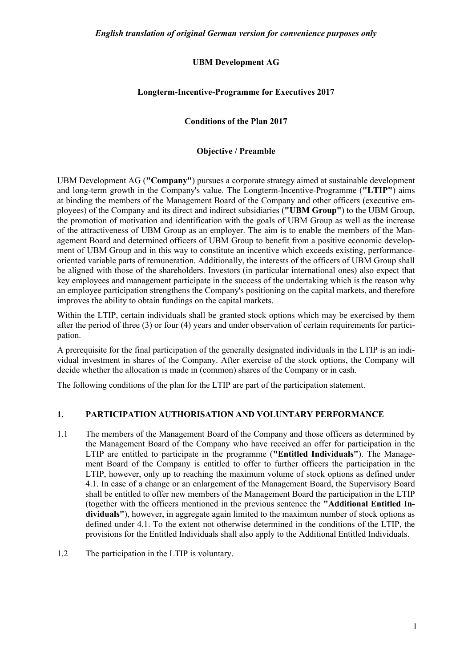# **UBM Development AG**

## **Longterm-Incentive-Programme for Executives 2017**

### **Conditions of the Plan 2017**

### **Objective / Preamble**

UBM Development AG (**"Company"**) pursues a corporate strategy aimed at sustainable development and long-term growth in the Company's value. The Longterm-Incentive-Programme (**"LTIP"**) aims at binding the members of the Management Board of the Company and other officers (executive employees) of the Company and its direct and indirect subsidiaries (**"UBM Group"**) to the UBM Group, the promotion of motivation and identification with the goals of UBM Group as well as the increase of the attractiveness of UBM Group as an employer. The aim is to enable the members of the Management Board and determined officers of UBM Group to benefit from a positive economic development of UBM Group and in this way to constitute an incentive which exceeds existing, performanceoriented variable parts of remuneration. Additionally, the interests of the officers of UBM Group shall be aligned with those of the shareholders. Investors (in particular international ones) also expect that key employees and management participate in the success of the undertaking which is the reason why an employee participation strengthens the Company's positioning on the capital markets, and therefore improves the ability to obtain fundings on the capital markets.

Within the LTIP, certain individuals shall be granted stock options which may be exercised by them after the period of three (3) or four (4) years and under observation of certain requirements for participation.

A prerequisite for the final participation of the generally designated individuals in the LTIP is an individual investment in shares of the Company. After exercise of the stock options, the Company will decide whether the allocation is made in (common) shares of the Company or in cash.

The following conditions of the plan for the LTIP are part of the participation statement.

## **1. PARTICIPATION AUTHORISATION AND VOLUNTARY PERFORMANCE**

- 1.1 The members of the Management Board of the Company and those officers as determined by the Management Board of the Company who have received an offer for participation in the LTIP are entitled to participate in the programme (**"Entitled Individuals"**). The Management Board of the Company is entitled to offer to further officers the participation in the LTIP, however, only up to reaching the maximum volume of stock options as defined under 4.1. In case of a change or an enlargement of the Management Board, the Supervisory Board shall be entitled to offer new members of the Management Board the participation in the LTIP (together with the officers mentioned in the previous sentence the **"Additional Entitled Individuals"**), however, in aggregate again limited to the maximum number of stock options as defined under 4.1. To the extent not otherwise determined in the conditions of the LTIP, the provisions for the Entitled Individuals shall also apply to the Additional Entitled Individuals.
- 1.2 The participation in the LTIP is voluntary.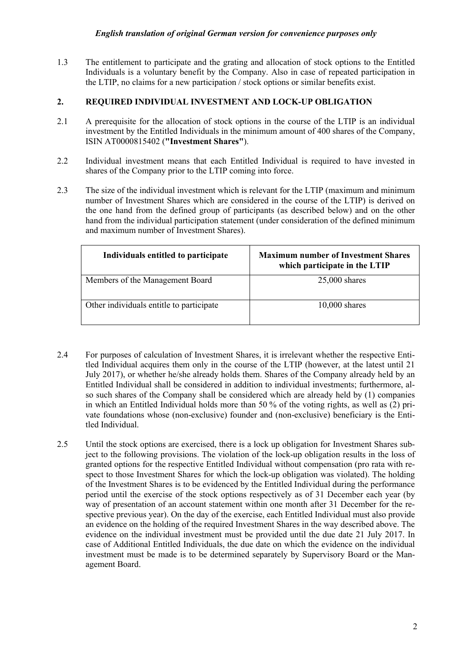1.3 The entitlement to participate and the grating and allocation of stock options to the Entitled Individuals is a voluntary benefit by the Company. Also in case of repeated participation in the LTIP, no claims for a new participation / stock options or similar benefits exist.

## **2. REQUIRED INDIVIDUAL INVESTMENT AND LOCK-UP OBLIGATION**

- 2.1 A prerequisite for the allocation of stock options in the course of the LTIP is an individual investment by the Entitled Individuals in the minimum amount of 400 shares of the Company, ISIN AT0000815402 (**"Investment Shares"**).
- 2.2 Individual investment means that each Entitled Individual is required to have invested in shares of the Company prior to the LTIP coming into force.
- 2.3 The size of the individual investment which is relevant for the LTIP (maximum and minimum number of Investment Shares which are considered in the course of the LTIP) is derived on the one hand from the defined group of participants (as described below) and on the other hand from the individual participation statement (under consideration of the defined minimum and maximum number of Investment Shares).

| Individuals entitled to participate      | <b>Maximum number of Investment Shares</b><br>which participate in the LTIP |
|------------------------------------------|-----------------------------------------------------------------------------|
| Members of the Management Board          | $25,000$ shares                                                             |
| Other individuals entitle to participate | $10,000$ shares                                                             |

- 2.4 For purposes of calculation of Investment Shares, it is irrelevant whether the respective Entitled Individual acquires them only in the course of the LTIP (however, at the latest until 21 July 2017), or whether he/she already holds them. Shares of the Company already held by an Entitled Individual shall be considered in addition to individual investments; furthermore, also such shares of the Company shall be considered which are already held by (1) companies in which an Entitled Individual holds more than 50 % of the voting rights, as well as (2) private foundations whose (non-exclusive) founder and (non-exclusive) beneficiary is the Entitled Individual.
- 2.5 Until the stock options are exercised, there is a lock up obligation for Investment Shares subject to the following provisions. The violation of the lock-up obligation results in the loss of granted options for the respective Entitled Individual without compensation (pro rata with respect to those Investment Shares for which the lock-up obligation was violated). The holding of the Investment Shares is to be evidenced by the Entitled Individual during the performance period until the exercise of the stock options respectively as of 31 December each year (by way of presentation of an account statement within one month after 31 December for the respective previous year). On the day of the exercise, each Entitled Individual must also provide an evidence on the holding of the required Investment Shares in the way described above. The evidence on the individual investment must be provided until the due date 21 July 2017. In case of Additional Entitled Individuals, the due date on which the evidence on the individual investment must be made is to be determined separately by Supervisory Board or the Management Board.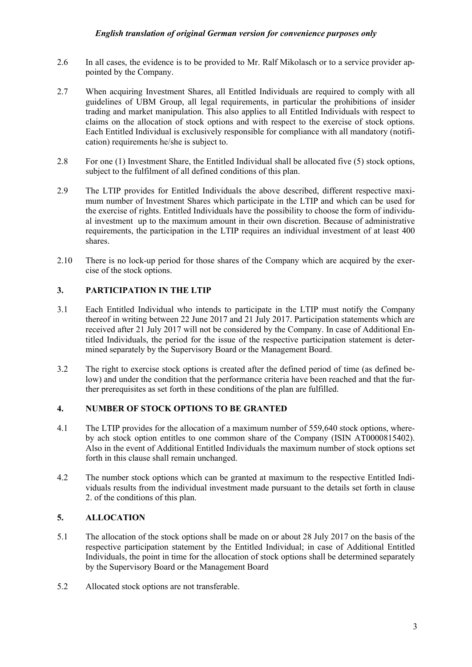- 2.6 In all cases, the evidence is to be provided to Mr. Ralf Mikolasch or to a service provider appointed by the Company.
- 2.7 When acquiring Investment Shares, all Entitled Individuals are required to comply with all guidelines of UBM Group, all legal requirements, in particular the prohibitions of insider trading and market manipulation. This also applies to all Entitled Individuals with respect to claims on the allocation of stock options and with respect to the exercise of stock options. Each Entitled Individual is exclusively responsible for compliance with all mandatory (notification) requirements he/she is subject to.
- 2.8 For one (1) Investment Share, the Entitled Individual shall be allocated five (5) stock options, subject to the fulfilment of all defined conditions of this plan.
- 2.9 The LTIP provides for Entitled Individuals the above described, different respective maximum number of Investment Shares which participate in the LTIP and which can be used for the exercise of rights. Entitled Individuals have the possibility to choose the form of individual investment up to the maximum amount in their own discretion. Because of administrative requirements, the participation in the LTIP requires an individual investment of at least 400 shares.
- 2.10 There is no lock-up period for those shares of the Company which are acquired by the exercise of the stock options.

# **3. PARTICIPATION IN THE LTIP**

- 3.1 Each Entitled Individual who intends to participate in the LTIP must notify the Company thereof in writing between 22 June 2017 and 21 July 2017. Participation statements which are received after 21 July 2017 will not be considered by the Company. In case of Additional Entitled Individuals, the period for the issue of the respective participation statement is determined separately by the Supervisory Board or the Management Board.
- 3.2 The right to exercise stock options is created after the defined period of time (as defined below) and under the condition that the performance criteria have been reached and that the further prerequisites as set forth in these conditions of the plan are fulfilled.

# **4. NUMBER OF STOCK OPTIONS TO BE GRANTED**

- 4.1 The LTIP provides for the allocation of a maximum number of 559,640 stock options, whereby ach stock option entitles to one common share of the Company (ISIN AT0000815402). Also in the event of Additional Entitled Individuals the maximum number of stock options set forth in this clause shall remain unchanged.
- 4.2 The number stock options which can be granted at maximum to the respective Entitled Individuals results from the individual investment made pursuant to the details set forth in clause 2. of the conditions of this plan.

# **5. ALLOCATION**

- 5.1 The allocation of the stock options shall be made on or about 28 July 2017 on the basis of the respective participation statement by the Entitled Individual; in case of Additional Entitled Individuals, the point in time for the allocation of stock options shall be determined separately by the Supervisory Board or the Management Board
- 5.2 Allocated stock options are not transferable.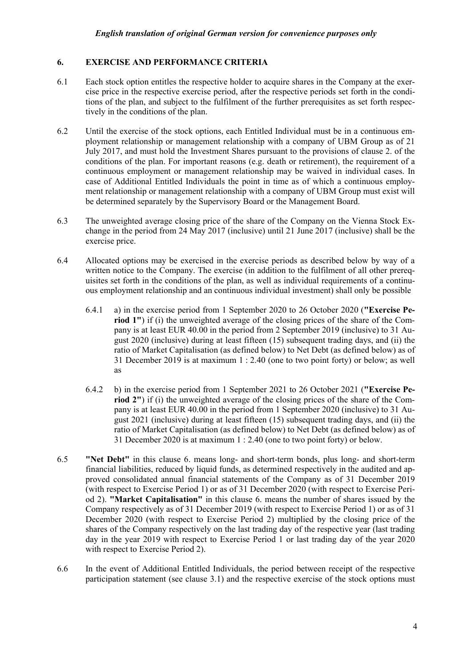### **6. EXERCISE AND PERFORMANCE CRITERIA**

- 6.1 Each stock option entitles the respective holder to acquire shares in the Company at the exercise price in the respective exercise period, after the respective periods set forth in the conditions of the plan, and subject to the fulfilment of the further prerequisites as set forth respectively in the conditions of the plan.
- 6.2 Until the exercise of the stock options, each Entitled Individual must be in a continuous employment relationship or management relationship with a company of UBM Group as of 21 July 2017, and must hold the Investment Shares pursuant to the provisions of clause 2. of the conditions of the plan. For important reasons (e.g. death or retirement), the requirement of a continuous employment or management relationship may be waived in individual cases. In case of Additional Entitled Individuals the point in time as of which a continuous employment relationship or management relationship with a company of UBM Group must exist will be determined separately by the Supervisory Board or the Management Board.
- 6.3 The unweighted average closing price of the share of the Company on the Vienna Stock Exchange in the period from 24 May 2017 (inclusive) until 21 June 2017 (inclusive) shall be the exercise price.
- 6.4 Allocated options may be exercised in the exercise periods as described below by way of a written notice to the Company. The exercise (in addition to the fulfilment of all other prerequisites set forth in the conditions of the plan, as well as individual requirements of a continuous employment relationship and an continuous individual investment) shall only be possible
	- 6.4.1 a) in the exercise period from 1 September 2020 to 26 October 2020 (**"Exercise Pe**riod 1") if (i) the unweighted average of the closing prices of the share of the Company is at least EUR 40.00 in the period from 2 September 2019 (inclusive) to 31 August 2020 (inclusive) during at least fifteen (15) subsequent trading days, and (ii) the ratio of Market Capitalisation (as defined below) to Net Debt (as defined below) as of 31 December 2019 is at maximum 1 : 2.40 (one to two point forty) or below; as well as
	- 6.4.2 b) in the exercise period from 1 September 2021 to 26 October 2021 (**"Exercise Period 2"**) if (i) the unweighted average of the closing prices of the share of the Company is at least EUR 40.00 in the period from 1 September 2020 (inclusive) to 31 August 2021 (inclusive) during at least fifteen (15) subsequent trading days, and (ii) the ratio of Market Capitalisation (as defined below) to Net Debt (as defined below) as of 31 December 2020 is at maximum 1 : 2.40 (one to two point forty) or below.
- 6.5 **"Net Debt"** in this clause 6. means long- and short-term bonds, plus long- and short-term financial liabilities, reduced by liquid funds, as determined respectively in the audited and approved consolidated annual financial statements of the Company as of 31 December 2019 (with respect to Exercise Period 1) or as of 31 December 2020 (with respect to Exercise Period 2). **"Market Capitalisation"** in this clause 6. means the number of shares issued by the Company respectively as of 31 December 2019 (with respect to Exercise Period 1) or as of 31 December 2020 (with respect to Exercise Period 2) multiplied by the closing price of the shares of the Company respectively on the last trading day of the respective year (last trading day in the year 2019 with respect to Exercise Period 1 or last trading day of the year 2020 with respect to Exercise Period 2).
- 6.6 In the event of Additional Entitled Individuals, the period between receipt of the respective participation statement (see clause 3.1) and the respective exercise of the stock options must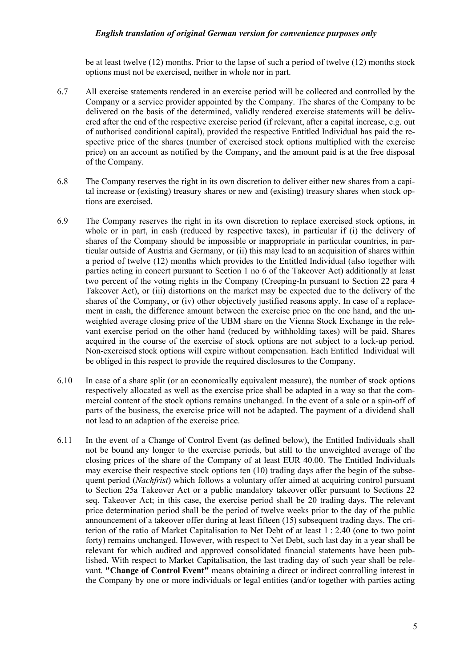be at least twelve (12) months. Prior to the lapse of such a period of twelve (12) months stock options must not be exercised, neither in whole nor in part.

- 6.7 All exercise statements rendered in an exercise period will be collected and controlled by the Company or a service provider appointed by the Company. The shares of the Company to be delivered on the basis of the determined, validly rendered exercise statements will be delivered after the end of the respective exercise period (if relevant, after a capital increase, e.g. out of authorised conditional capital), provided the respective Entitled Individual has paid the respective price of the shares (number of exercised stock options multiplied with the exercise price) on an account as notified by the Company, and the amount paid is at the free disposal of the Company.
- 6.8 The Company reserves the right in its own discretion to deliver either new shares from a capital increase or (existing) treasury shares or new and (existing) treasury shares when stock options are exercised.
- 6.9 The Company reserves the right in its own discretion to replace exercised stock options, in whole or in part, in cash (reduced by respective taxes), in particular if (i) the delivery of shares of the Company should be impossible or inappropriate in particular countries, in particular outside of Austria and Germany, or (ii) this may lead to an acquisition of shares within a period of twelve (12) months which provides to the Entitled Individual (also together with parties acting in concert pursuant to Section 1 no 6 of the Takeover Act) additionally at least two percent of the voting rights in the Company (Creeping-In pursuant to Section 22 para 4 Takeover Act), or (iii) distortions on the market may be expected due to the delivery of the shares of the Company, or (iv) other objectively justified reasons apply. In case of a replacement in cash, the difference amount between the exercise price on the one hand, and the unweighted average closing price of the UBM share on the Vienna Stock Exchange in the relevant exercise period on the other hand (reduced by withholding taxes) will be paid. Shares acquired in the course of the exercise of stock options are not subject to a lock-up period. Non-exercised stock options will expire without compensation. Each Entitled Individual will be obliged in this respect to provide the required disclosures to the Company.
- 6.10 In case of a share split (or an economically equivalent measure), the number of stock options respectively allocated as well as the exercise price shall be adapted in a way so that the commercial content of the stock options remains unchanged. In the event of a sale or a spin-off of parts of the business, the exercise price will not be adapted. The payment of a dividend shall not lead to an adaption of the exercise price.
- 6.11 In the event of a Change of Control Event (as defined below), the Entitled Individuals shall not be bound any longer to the exercise periods, but still to the unweighted average of the closing prices of the share of the Company of at least EUR 40.00. The Entitled Individuals may exercise their respective stock options ten (10) trading days after the begin of the subsequent period (*Nachfrist*) which follows a voluntary offer aimed at acquiring control pursuant to Section 25a Takeover Act or a public mandatory takeover offer pursuant to Sections 22 seq. Takeover Act; in this case, the exercise period shall be 20 trading days. The relevant price determination period shall be the period of twelve weeks prior to the day of the public announcement of a takeover offer during at least fifteen (15) subsequent trading days. The criterion of the ratio of Market Capitalisation to Net Debt of at least 1 : 2.40 (one to two point forty) remains unchanged. However, with respect to Net Debt, such last day in a year shall be relevant for which audited and approved consolidated financial statements have been published. With respect to Market Capitalisation, the last trading day of such year shall be relevant. **"Change of Control Event"** means obtaining a direct or indirect controlling interest in the Company by one or more individuals or legal entities (and/or together with parties acting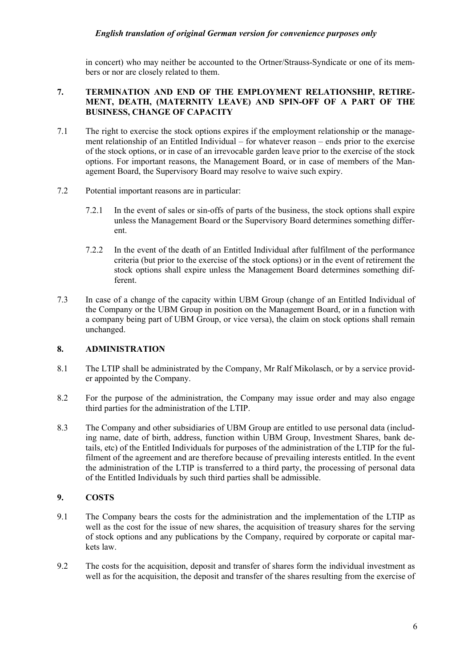in concert) who may neither be accounted to the Ortner/Strauss-Syndicate or one of its members or nor are closely related to them.

### **7. TERMINATION AND END OF THE EMPLOYMENT RELATIONSHIP, RETIRE-MENT, DEATH, (MATERNITY LEAVE) AND SPIN-OFF OF A PART OF THE BUSINESS, CHANGE OF CAPACITY**

- 7.1 The right to exercise the stock options expires if the employment relationship or the management relationship of an Entitled Individual – for whatever reason – ends prior to the exercise of the stock options, or in case of an irrevocable garden leave prior to the exercise of the stock options. For important reasons, the Management Board, or in case of members of the Management Board, the Supervisory Board may resolve to waive such expiry.
- 7.2 Potential important reasons are in particular:
	- 7.2.1 In the event of sales or sin-offs of parts of the business, the stock options shall expire unless the Management Board or the Supervisory Board determines something different.
	- 7.2.2 In the event of the death of an Entitled Individual after fulfilment of the performance criteria (but prior to the exercise of the stock options) or in the event of retirement the stock options shall expire unless the Management Board determines something different.
- 7.3 In case of a change of the capacity within UBM Group (change of an Entitled Individual of the Company or the UBM Group in position on the Management Board, or in a function with a company being part of UBM Group, or vice versa), the claim on stock options shall remain unchanged.

# **8. ADMINISTRATION**

- 8.1 The LTIP shall be administrated by the Company, Mr Ralf Mikolasch, or by a service provider appointed by the Company.
- 8.2 For the purpose of the administration, the Company may issue order and may also engage third parties for the administration of the LTIP.
- 8.3 The Company and other subsidiaries of UBM Group are entitled to use personal data (including name, date of birth, address, function within UBM Group, Investment Shares, bank details, etc) of the Entitled Individuals for purposes of the administration of the LTIP for the fulfilment of the agreement and are therefore because of prevailing interests entitled. In the event the administration of the LTIP is transferred to a third party, the processing of personal data of the Entitled Individuals by such third parties shall be admissible.

# **9. COSTS**

- 9.1 The Company bears the costs for the administration and the implementation of the LTIP as well as the cost for the issue of new shares, the acquisition of treasury shares for the serving of stock options and any publications by the Company, required by corporate or capital markets law.
- 9.2 The costs for the acquisition, deposit and transfer of shares form the individual investment as well as for the acquisition, the deposit and transfer of the shares resulting from the exercise of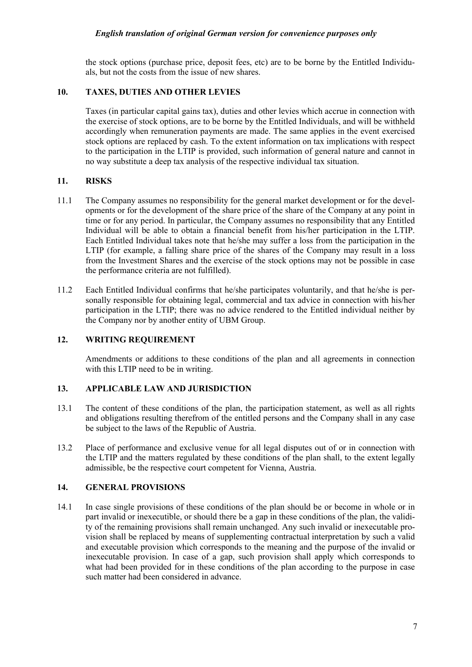the stock options (purchase price, deposit fees, etc) are to be borne by the Entitled Individuals, but not the costs from the issue of new shares.

# **10. TAXES, DUTIES AND OTHER LEVIES**

Taxes (in particular capital gains tax), duties and other levies which accrue in connection with the exercise of stock options, are to be borne by the Entitled Individuals, and will be withheld accordingly when remuneration payments are made. The same applies in the event exercised stock options are replaced by cash. To the extent information on tax implications with respect to the participation in the LTIP is provided, such information of general nature and cannot in no way substitute a deep tax analysis of the respective individual tax situation.

### **11. RISKS**

- 11.1 The Company assumes no responsibility for the general market development or for the developments or for the development of the share price of the share of the Company at any point in time or for any period. In particular, the Company assumes no responsibility that any Entitled Individual will be able to obtain a financial benefit from his/her participation in the LTIP. Each Entitled Individual takes note that he/she may suffer a loss from the participation in the LTIP (for example, a falling share price of the shares of the Company may result in a loss from the Investment Shares and the exercise of the stock options may not be possible in case the performance criteria are not fulfilled).
- 11.2 Each Entitled Individual confirms that he/she participates voluntarily, and that he/she is personally responsible for obtaining legal, commercial and tax advice in connection with his/her participation in the LTIP; there was no advice rendered to the Entitled individual neither by the Company nor by another entity of UBM Group.

#### **12. WRITING REQUIREMENT**

Amendments or additions to these conditions of the plan and all agreements in connection with this LTIP need to be in writing.

# **13. APPLICABLE LAW AND JURISDICTION**

- 13.1 The content of these conditions of the plan, the participation statement, as well as all rights and obligations resulting therefrom of the entitled persons and the Company shall in any case be subject to the laws of the Republic of Austria.
- 13.2 Place of performance and exclusive venue for all legal disputes out of or in connection with the LTIP and the matters regulated by these conditions of the plan shall, to the extent legally admissible, be the respective court competent for Vienna, Austria.

#### **14. GENERAL PROVISIONS**

14.1 In case single provisions of these conditions of the plan should be or become in whole or in part invalid or inexecutible, or should there be a gap in these conditions of the plan, the validity of the remaining provisions shall remain unchanged. Any such invalid or inexecutable provision shall be replaced by means of supplementing contractual interpretation by such a valid and executable provision which corresponds to the meaning and the purpose of the invalid or inexecutable provision. In case of a gap, such provision shall apply which corresponds to what had been provided for in these conditions of the plan according to the purpose in case such matter had been considered in advance.